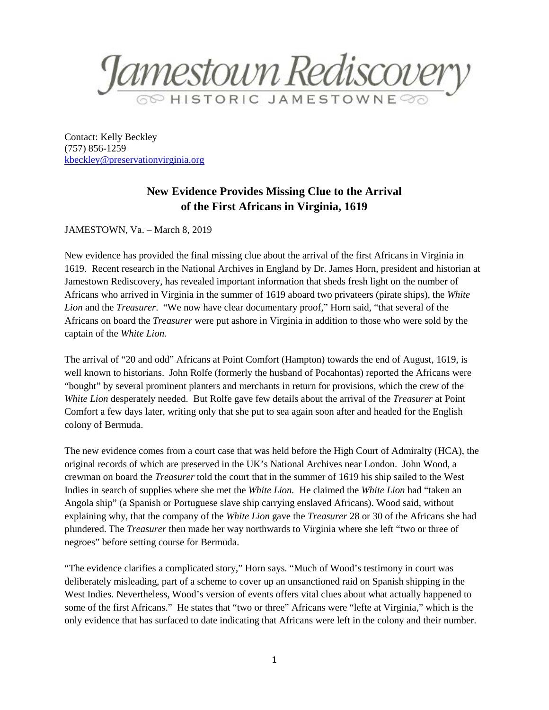Jamestown Rediscovery

Contact: Kelly Beckley (757) 856-1259 [kbeckley@preservationvirginia.org](mailto:kbeckley@preservationvirginia.org)

## **New Evidence Provides Missing Clue to the Arrival of the First Africans in Virginia, 1619**

JAMESTOWN, Va. – March 8, 2019

New evidence has provided the final missing clue about the arrival of the first Africans in Virginia in 1619. Recent research in the National Archives in England by Dr. James Horn, president and historian at Jamestown Rediscovery, has revealed important information that sheds fresh light on the number of Africans who arrived in Virginia in the summer of 1619 aboard two privateers (pirate ships), the *White Lion* and the *Treasurer*. "We now have clear documentary proof," Horn said, "that several of the Africans on board the *Treasurer* were put ashore in Virginia in addition to those who were sold by the captain of the *White Lion.*

The arrival of "20 and odd" Africans at Point Comfort (Hampton) towards the end of August, 1619, is well known to historians. John Rolfe (formerly the husband of Pocahontas) reported the Africans were "bought" by several prominent planters and merchants in return for provisions, which the crew of the *White Lion* desperately needed. But Rolfe gave few details about the arrival of the *Treasurer* at Point Comfort a few days later, writing only that she put to sea again soon after and headed for the English colony of Bermuda.

The new evidence comes from a court case that was held before the High Court of Admiralty (HCA), the original records of which are preserved in the UK's National Archives near London. John Wood, a crewman on board the *Treasurer* told the court that in the summer of 1619 his ship sailed to the West Indies in search of supplies where she met the *White Lion.* He claimed the *White Lion* had "taken an Angola ship" (a Spanish or Portuguese slave ship carrying enslaved Africans). Wood said, without explaining why, that the company of the *White Lion* gave the *Treasurer* 28 or 30 of the Africans she had plundered. The *Treasurer* then made her way northwards to Virginia where she left "two or three of negroes" before setting course for Bermuda.

"The evidence clarifies a complicated story," Horn says. "Much of Wood's testimony in court was deliberately misleading, part of a scheme to cover up an unsanctioned raid on Spanish shipping in the West Indies. Nevertheless, Wood's version of events offers vital clues about what actually happened to some of the first Africans." He states that "two or three" Africans were "lefte at Virginia," which is the only evidence that has surfaced to date indicating that Africans were left in the colony and their number.